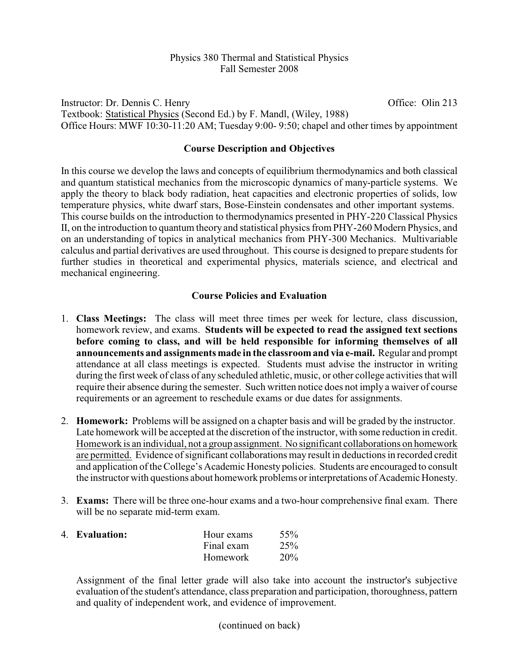### Physics 380 Thermal and Statistical Physics Fall Semester 2008

Instructor: Dr. Dennis C. Henry Office: Olin 213 Textbook: Statistical Physics (Second Ed.) by F. Mandl, (Wiley, 1988) Office Hours: MWF 10:30-11:20 AM; Tuesday 9:00- 9:50; chapel and other times by appointment

## **Course Description and Objectives**

In this course we develop the laws and concepts of equilibrium thermodynamics and both classical and quantum statistical mechanics from the microscopic dynamics of many-particle systems. We apply the theory to black body radiation, heat capacities and electronic properties of solids, low temperature physics, white dwarf stars, Bose-Einstein condensates and other important systems. This course builds on the introduction to thermodynamics presented in PHY-220 Classical Physics II, on the introduction to quantum theory and statistical physics from PHY-260 Modern Physics, and on an understanding of topics in analytical mechanics from PHY-300 Mechanics. Multivariable calculus and partial derivatives are used throughout. This course is designed to prepare students for further studies in theoretical and experimental physics, materials science, and electrical and mechanical engineering.

## **Course Policies and Evaluation**

- 1. **Class Meetings:** The class will meet three times per week for lecture, class discussion, homework review, and exams. **Students will be expected to read the assigned text sections before coming to class, and will be held responsible for informing themselves of all announcements and assignments made in the classroomand via e-mail.** Regular and prompt attendance at all class meetings is expected. Students must advise the instructor in writing during the first week of class of any scheduled athletic, music, or other college activities that will require their absence during the semester. Such written notice does not imply a waiver of course requirements or an agreement to reschedule exams or due dates for assignments.
- 2. **Homework:** Problems will be assigned on a chapter basis and will be graded by the instructor. Late homework will be accepted at the discretion of the instructor, with some reduction in credit. Homework is an individual, not a group assignment. No significant collaborations on homework are permitted. Evidence of significant collaborations may result in deductions in recorded credit and application of the College's Academic Honesty policies. Students are encouraged to consult the instructor with questions about homework problems or interpretations of Academic Honesty.
- 3. **Exams:** There will be three one-hour exams and a two-hour comprehensive final exam. There will be no separate mid-term exam.

| 4. Evaluation: | Hour exams      | 55% |
|----------------|-----------------|-----|
|                | Final exam      | 25% |
|                | <b>Homework</b> | 20% |

Assignment of the final letter grade will also take into account the instructor's subjective evaluation of the student's attendance, class preparation and participation, thoroughness, pattern and quality of independent work, and evidence of improvement.

(continued on back)